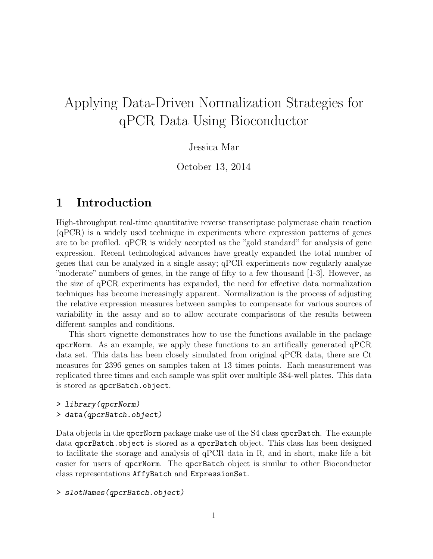# Applying Data-Driven Normalization Strategies for qPCR Data Using Bioconductor

### Jessica Mar

October 13, 2014

### 1 Introduction

High-throughput real-time quantitative reverse transcriptase polymerase chain reaction (qPCR) is a widely used technique in experiments where expression patterns of genes are to be profiled. qPCR is widely accepted as the "gold standard" for analysis of gene expression. Recent technological advances have greatly expanded the total number of genes that can be analyzed in a single assay; qPCR experiments now regularly analyze "moderate" numbers of genes, in the range of fifty to a few thousand [1-3]. However, as the size of qPCR experiments has expanded, the need for effective data normalization techniques has become increasingly apparent. Normalization is the process of adjusting the relative expression measures between samples to compensate for various sources of variability in the assay and so to allow accurate comparisons of the results between different samples and conditions.

This short vignette demonstrates how to use the functions available in the package qpcrNorm. As an example, we apply these functions to an artifically generated qPCR data set. This data has been closely simulated from original qPCR data, there are Ct measures for 2396 genes on samples taken at 13 times points. Each measurement was replicated three times and each sample was split over multiple 384-well plates. This data is stored as qpcrBatch.object.

### > library(qpcrNorm) > data(qpcrBatch.object)

Data objects in the qpcrNorm package make use of the S4 class qpcrBatch. The example data qpcrBatch.object is stored as a qpcrBatch object. This class has been designed to facilitate the storage and analysis of qPCR data in R, and in short, make life a bit easier for users of qpcrNorm. The qpcrBatch object is similar to other Bioconductor class representations AffyBatch and ExpressionSet.

#### > slotNames(qpcrBatch.object)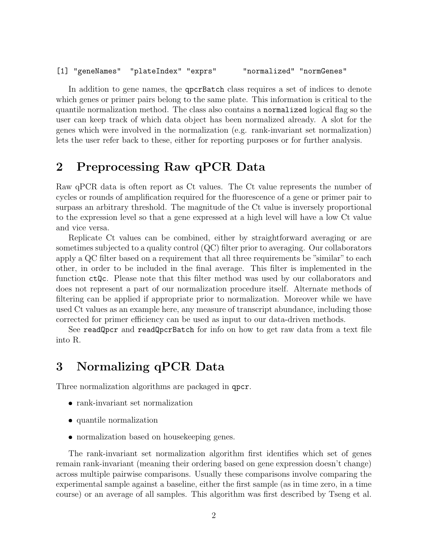[1] "geneNames" "plateIndex" "exprs" "normalized" "normGenes"

In addition to gene names, the qpcrBatch class requires a set of indices to denote which genes or primer pairs belong to the same plate. This information is critical to the quantile normalization method. The class also contains a normalized logical flag so the user can keep track of which data object has been normalized already. A slot for the genes which were involved in the normalization (e.g. rank-invariant set normalization) lets the user refer back to these, either for reporting purposes or for further analysis.

### 2 Preprocessing Raw qPCR Data

Raw qPCR data is often report as Ct values. The Ct value represents the number of cycles or rounds of amplification required for the fluorescence of a gene or primer pair to surpass an arbitrary threshold. The magnitude of the Ct value is inversely proportional to the expression level so that a gene expressed at a high level will have a low Ct value and vice versa.

Replicate Ct values can be combined, either by straightforward averaging or are sometimes subjected to a quality control (QC) filter prior to averaging. Our collaborators apply a QC filter based on a requirement that all three requirements be "similar" to each other, in order to be included in the final average. This filter is implemented in the function ctQc. Please note that this filter method was used by our collaborators and does not represent a part of our normalization procedure itself. Alternate methods of filtering can be applied if appropriate prior to normalization. Moreover while we have used Ct values as an example here, any measure of transcript abundance, including those corrected for primer efficiency can be used as input to our data-driven methods.

See readQpcr and readQpcrBatch for info on how to get raw data from a text file into R.

### 3 Normalizing qPCR Data

Three normalization algorithms are packaged in qpcr.

- rank-invariant set normalization
- quantile normalization
- normalization based on housekeeping genes.

The rank-invariant set normalization algorithm first identifies which set of genes remain rank-invariant (meaning their ordering based on gene expression doesn't change) across multiple pairwise comparisons. Usually these comparisons involve comparing the experimental sample against a baseline, either the first sample (as in time zero, in a time course) or an average of all samples. This algorithm was first described by Tseng et al.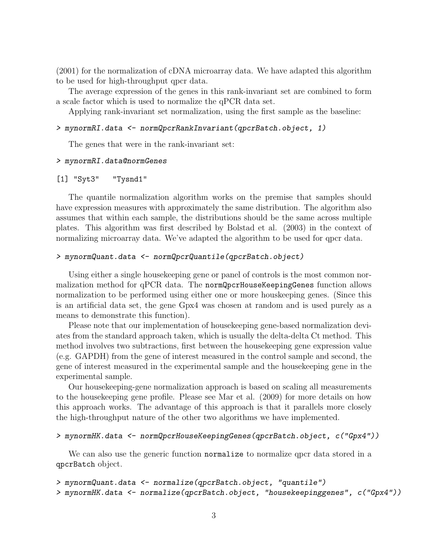(2001) for the normalization of cDNA microarray data. We have adapted this algorithm to be used for high-throughput qpcr data.

The average expression of the genes in this rank-invariant set are combined to form a scale factor which is used to normalize the qPCR data set.

Applying rank-invariant set normalization, using the first sample as the baseline:

#### > mynormRI.data <- normQpcrRankInvariant(qpcrBatch.object, 1)

The genes that were in the rank-invariant set:

#### > mynormRI.data@normGenes

#### [1] "Syt3" "Tysnd1"

The quantile normalization algorithm works on the premise that samples should have expression measures with approximately the same distribution. The algorithm also assumes that within each sample, the distributions should be the same across multiple plates. This algorithm was first described by Bolstad et al. (2003) in the context of normalizing microarray data. We've adapted the algorithm to be used for qpcr data.

#### > mynormQuant.data <- normQpcrQuantile(qpcrBatch.object)

Using either a single housekeeping gene or panel of controls is the most common normalization method for qPCR data. The normQpcrHouseKeepingGenes function allows normalization to be performed using either one or more houskeeping genes. (Since this is an artificial data set, the gene Gpx4 was chosen at random and is used purely as a means to demonstrate this function).

Please note that our implementation of housekeeping gene-based normalization deviates from the standard approach taken, which is usually the delta-delta Ct method. This method involves two subtractions, first between the housekeeping gene expression value (e.g. GAPDH) from the gene of interest measured in the control sample and second, the gene of interest measured in the experimental sample and the housekeeping gene in the experimental sample.

Our housekeeping-gene normalization approach is based on scaling all measurements to the housekeeping gene profile. Please see Mar et al. (2009) for more details on how this approach works. The advantage of this approach is that it parallels more closely the high-throughput nature of the other two algorithms we have implemented.

#### > mynormHK.data <- normQpcrHouseKeepingGenes(qpcrBatch.object, c("Gpx4"))

We can also use the generic function **normalize** to normalize qpcr data stored in a qpcrBatch object.

```
> mynormQuant.data <- normalize(qpcrBatch.object, "quantile")
> mynormHK.data <- normalize(qpcrBatch.object, "housekeepinggenes", c("Gpx4"))
```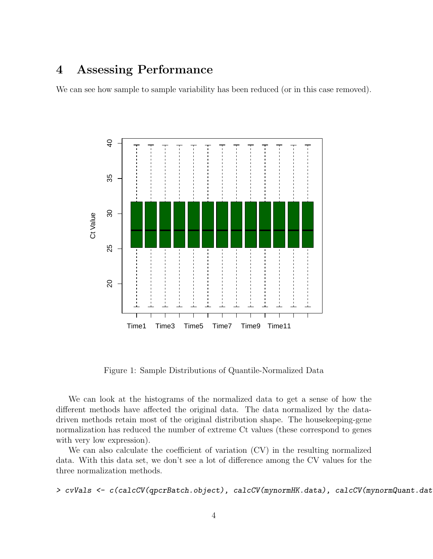### 4 Assessing Performance

We can see how sample to sample variability has been reduced (or in this case removed).



Figure 1: Sample Distributions of Quantile-Normalized Data

We can look at the histograms of the normalized data to get a sense of how the different methods have affected the original data. The data normalized by the datadriven methods retain most of the original distribution shape. The housekeeping-gene normalization has reduced the number of extreme Ct values (these correspond to genes with very low expression).

We can also calculate the coefficient of variation (CV) in the resulting normalized data. With this data set, we don't see a lot of difference among the CV values for the three normalization methods.

> cvVals <- c(calcCV(qpcrBatch.object), calcCV(mynormHK.data), calcCV(mynormQuant.dat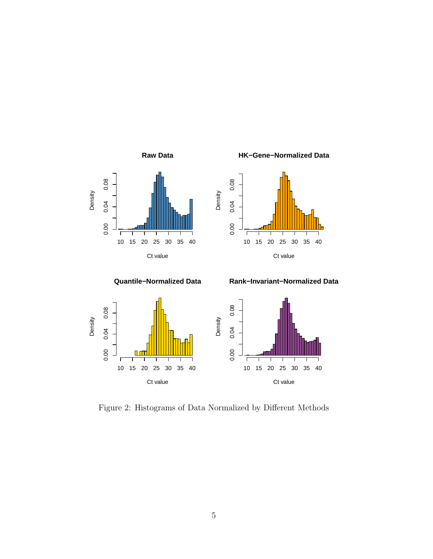

**Quantile−Normalized Data**



**Rank−Invariant−Normalized Data**

**HK−Gene−Normalized Data**



Figure 2: Histograms of Data Normalized by Different Methods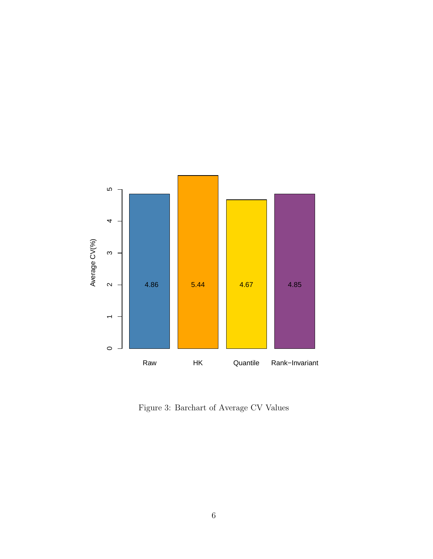

Figure 3: Barchart of Average CV Values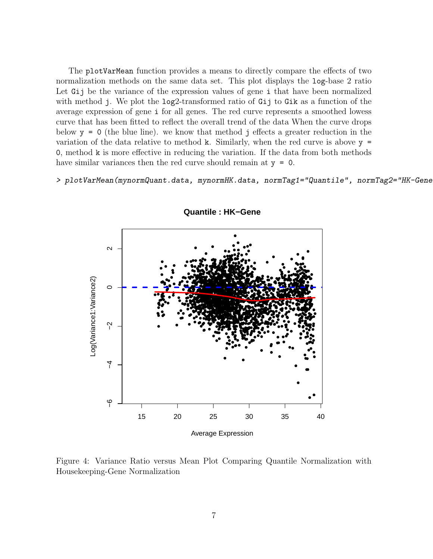The plotVarMean function provides a means to directly compare the effects of two normalization methods on the same data set. This plot displays the log-base 2 ratio Let Gij be the variance of the expression values of gene i that have been normalized with method j. We plot the log2-transformed ratio of Gij to Gik as a function of the average expression of gene i for all genes. The red curve represents a smoothed lowess curve that has been fitted to reflect the overall trend of the data When the curve drops below  $y = 0$  (the blue line), we know that method j effects a greater reduction in the variation of the data relative to method k. Similarly, when the red curve is above  $y =$  $\alpha$ , method k is more effective in reducing the variation. If the data from both methods have similar variances then the red curve should remain at  $y = 0$ .

> plotVarMean(mynormQuant.data, mynormHK.data, normTag1="Quantile", normTag2="HK-Gene



**Quantile: HK-Gene** 

Figure 4: Variance Ratio versus Mean Plot Comparing Quantile Normalization with Housekeeping-Gene Normalization